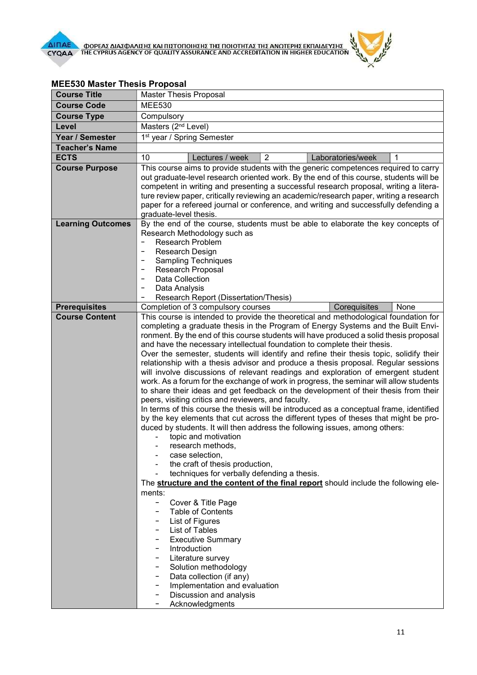

1<sup>st</sup> year / Spring Semester

| Ι <mark>ΑΣ ΤΗΣ ΑΝΩΤΕΡΗΣ ΕΚΠΑΙΔΕΥΣΗΣ</mark><br>ΙΕDΙΤΑΤΙΟΝ IN HIGHER ΕDUCATION |                                                                                                                                                                                                                                                                                       |  |
|------------------------------------------------------------------------------|---------------------------------------------------------------------------------------------------------------------------------------------------------------------------------------------------------------------------------------------------------------------------------------|--|
|                                                                              |                                                                                                                                                                                                                                                                                       |  |
|                                                                              |                                                                                                                                                                                                                                                                                       |  |
|                                                                              |                                                                                                                                                                                                                                                                                       |  |
|                                                                              |                                                                                                                                                                                                                                                                                       |  |
|                                                                              |                                                                                                                                                                                                                                                                                       |  |
|                                                                              |                                                                                                                                                                                                                                                                                       |  |
| 2                                                                            | Laboratories/week                                                                                                                                                                                                                                                                     |  |
|                                                                              | udents with the generic competences required to car<br>iented work. By the end of this course, students will b<br>enting a successful research proposal, writing a liter<br>iewing an academic/research paper, writing a resear<br>conference, and writing and successfully defending |  |

## **MEE530 Master Thesis Proposal**<br>Course Title **Master Thesis** Master Thesis Proposal

Course Code MEE530 Course Type Compulsory Level Masters (2<sup>nd</sup> Level)

Year / Semester

| <b>Teacher's Name</b>    |                                                                                                                                                                                                                                                                                                                                                                                                                                                                                                                                                                                                                                                                                                                                                                                                                                                                                                                                                                                                                                                                                                                                                                                                                                                                                                                                                                                                                                                                                                                                                                                                                                                                                      |                                                                                                                                                            |                |                                                                                  |      |
|--------------------------|--------------------------------------------------------------------------------------------------------------------------------------------------------------------------------------------------------------------------------------------------------------------------------------------------------------------------------------------------------------------------------------------------------------------------------------------------------------------------------------------------------------------------------------------------------------------------------------------------------------------------------------------------------------------------------------------------------------------------------------------------------------------------------------------------------------------------------------------------------------------------------------------------------------------------------------------------------------------------------------------------------------------------------------------------------------------------------------------------------------------------------------------------------------------------------------------------------------------------------------------------------------------------------------------------------------------------------------------------------------------------------------------------------------------------------------------------------------------------------------------------------------------------------------------------------------------------------------------------------------------------------------------------------------------------------------|------------------------------------------------------------------------------------------------------------------------------------------------------------|----------------|----------------------------------------------------------------------------------|------|
| <b>ECTS</b>              | 10                                                                                                                                                                                                                                                                                                                                                                                                                                                                                                                                                                                                                                                                                                                                                                                                                                                                                                                                                                                                                                                                                                                                                                                                                                                                                                                                                                                                                                                                                                                                                                                                                                                                                   | Lectures / week                                                                                                                                            | $\overline{2}$ | Laboratories/week                                                                | 1    |
| <b>Course Purpose</b>    | This course aims to provide students with the generic competences required to carry<br>out graduate-level research oriented work. By the end of this course, students will be<br>competent in writing and presenting a successful research proposal, writing a litera-<br>ture review paper, critically reviewing an academic/research paper, writing a research<br>paper for a refereed journal or conference, and writing and successfully defending a<br>graduate-level thesis.                                                                                                                                                                                                                                                                                                                                                                                                                                                                                                                                                                                                                                                                                                                                                                                                                                                                                                                                                                                                                                                                                                                                                                                                   |                                                                                                                                                            |                |                                                                                  |      |
| <b>Learning Outcomes</b> | Research Design<br>$\overline{\phantom{a}}$<br>Data Collection<br>Data Analysis                                                                                                                                                                                                                                                                                                                                                                                                                                                                                                                                                                                                                                                                                                                                                                                                                                                                                                                                                                                                                                                                                                                                                                                                                                                                                                                                                                                                                                                                                                                                                                                                      | Research Methodology such as<br><b>Research Problem</b><br><b>Sampling Techniques</b><br><b>Research Proposal</b><br>Research Report (Dissertation/Thesis) |                | By the end of the course, students must be able to elaborate the key concepts of |      |
| <b>Prerequisites</b>     |                                                                                                                                                                                                                                                                                                                                                                                                                                                                                                                                                                                                                                                                                                                                                                                                                                                                                                                                                                                                                                                                                                                                                                                                                                                                                                                                                                                                                                                                                                                                                                                                                                                                                      | Completion of 3 compulsory courses                                                                                                                         |                | Corequisites                                                                     | None |
| <b>Course Content</b>    | This course is intended to provide the theoretical and methodological foundation for<br>completing a graduate thesis in the Program of Energy Systems and the Built Envi-<br>ronment. By the end of this course students will have produced a solid thesis proposal<br>and have the necessary intellectual foundation to complete their thesis.<br>Over the semester, students will identify and refine their thesis topic, solidify their<br>relationship with a thesis advisor and produce a thesis proposal. Regular sessions<br>will involve discussions of relevant readings and exploration of emergent student<br>work. As a forum for the exchange of work in progress, the seminar will allow students<br>to share their ideas and get feedback on the development of their thesis from their<br>peers, visiting critics and reviewers, and faculty.<br>In terms of this course the thesis will be introduced as a conceptual frame, identified<br>by the key elements that cut across the different types of theses that might be pro-<br>duced by students. It will then address the following issues, among others:<br>topic and motivation<br>research methods,<br>case selection,<br>the craft of thesis production,<br>techniques for verbally defending a thesis.<br>The <b>structure and the content of the final report</b> should include the following ele-<br>ments:<br>Cover & Title Page<br><b>Table of Contents</b><br>List of Figures<br>List of Tables<br><b>Executive Summary</b><br>Introduction<br>Literature survey<br>Solution methodology<br>Data collection (if any)<br>Implementation and evaluation<br>Discussion and analysis<br>Acknowledgments |                                                                                                                                                            |                |                                                                                  |      |